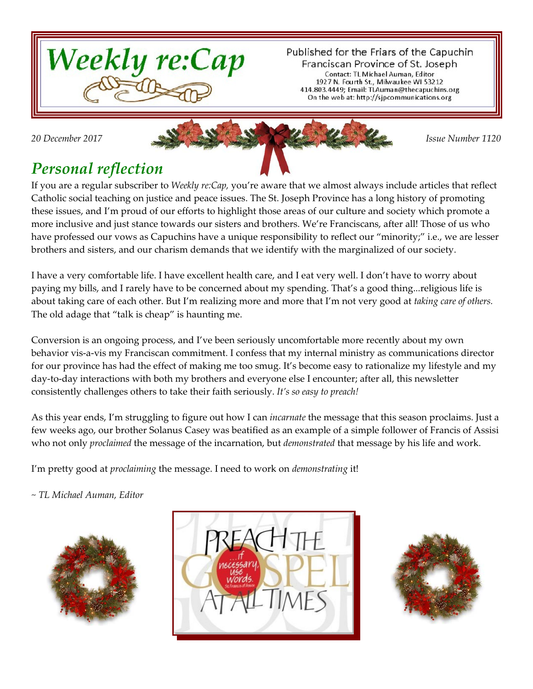

Published for the Friars of the Capuchin Franciscan Province of St. Joseph Contact: TL Michael Auman, Editor 1927 N. Fourth St., Milwaukee WI 53212 414.803.4449; Email: TLAuman@thecapuchins.org On the web at: http://sjpcommunications.org



## *Personal reflection*

If you are a regular subscriber to *Weekly re:Cap,* you're aware that we almost always include articles that reflect Catholic social teaching on justice and peace issues. The St. Joseph Province has a long history of promoting these issues, and I'm proud of our efforts to highlight those areas of our culture and society which promote a more inclusive and just stance towards our sisters and brothers. We're Franciscans, after all! Those of us who have professed our vows as Capuchins have a unique responsibility to reflect our "minority;" i.e., we are lesser brothers and sisters, and our charism demands that we identify with the marginalized of our society.

I have a very comfortable life. I have excellent health care, and I eat very well. I don't have to worry about paying my bills, and I rarely have to be concerned about my spending. That's a good thing...religious life is about taking care of each other. But I'm realizing more and more that I'm not very good at *taking care of others.* The old adage that "talk is cheap" is haunting me.

Conversion is an ongoing process, and I've been seriously uncomfortable more recently about my own behavior vis-a-vis my Franciscan commitment. I confess that my internal ministry as communications director for our province has had the effect of making me too smug. It's become easy to rationalize my lifestyle and my day-to-day interactions with both my brothers and everyone else I encounter; after all, this newsletter consistently challenges others to take their faith seriously. *It's so easy to preach!*

As this year ends, I'm struggling to figure out how I can *incarnate* the message that this season proclaims. Just a few weeks ago, our brother Solanus Casey was beatified as an example of a simple follower of Francis of Assisi who not only *proclaimed* the message of the incarnation, but *demonstrated* that message by his life and work.

I'm pretty good at *proclaiming* the message. I need to work on *demonstrating* it!

*~ TL Michael Auman, Editor*





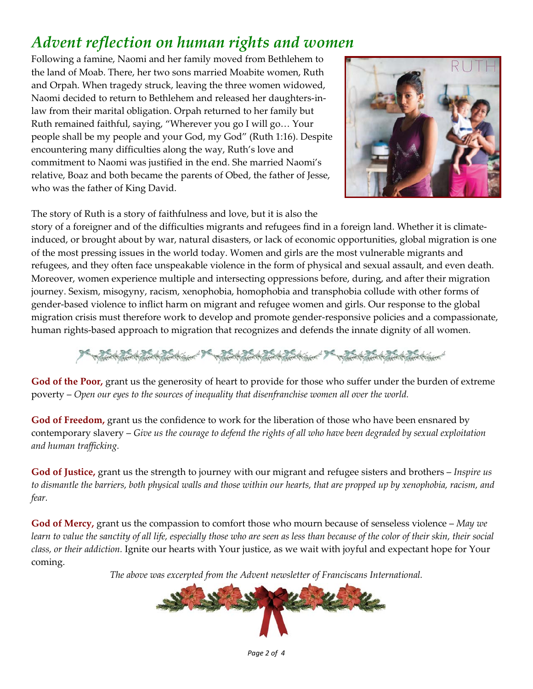# *Advent reflection on human rights and women*

Following a famine, Naomi and her family moved from Bethlehem to the land of Moab. There, her two sons married Moabite women, Ruth and Orpah. When tragedy struck, leaving the three women widowed, Naomi decided to return to Bethlehem and released her daughters-inlaw from their marital obligation. Orpah returned to her family but Ruth remained faithful, saying, "Wherever you go I will go… Your people shall be my people and your God, my God" (Ruth 1:16). Despite encountering many difficulties along the way, Ruth's love and commitment to Naomi was justified in the end. She married Naomi's relative, Boaz and both became the parents of Obed, the father of Jesse, who was the father of King David.



The story of Ruth is a story of faithfulness and love, but it is also the

story of a foreigner and of the difficulties migrants and refugees find in a foreign land. Whether it is climateinduced, or brought about by war, natural disasters, or lack of economic opportunities, global migration is one of the most pressing issues in the world today. Women and girls are the most vulnerable migrants and refugees, and they often face unspeakable violence in the form of physical and sexual assault, and even death. Moreover, women experience multiple and intersecting oppressions before, during, and after their migration journey. Sexism, misogyny, racism, xenophobia, homophobia and transphobia collude with other forms of gender-based violence to inflict harm on migrant and refugee women and girls. Our response to the global migration crisis must therefore work to develop and promote gender-responsive policies and a compassionate, human rights-based approach to migration that recognizes and defends the innate dignity of all women.

**God of the Poor,** grant us the generosity of heart to provide for those who suffer under the burden of extreme poverty – *Open our eyes to the sources of inequality that disenfranchise women all over the world.*

**God of Freedom,** grant us the confidence to work for the liberation of those who have been ensnared by contemporary slavery – *Give us the courage to defend the rights of all who have been degraded by sexual exploitation and human trafficking.*

**God of Justice,** grant us the strength to journey with our migrant and refugee sisters and brothers – *Inspire us to dismantle the barriers, both physical walls and those within our hearts, that are propped up by xenophobia, racism, and fear.*

**God of Mercy,** grant us the compassion to comfort those who mourn because of senseless violence – *May we learn to value the sanctity of all life, especially those who are seen as less than because of the color of their skin, their social class, or their addiction.* Ignite our hearts with Your justice, as we wait with joyful and expectant hope for Your coming.

*The above was excerpted from the Advent newsletter of Franciscans International.*

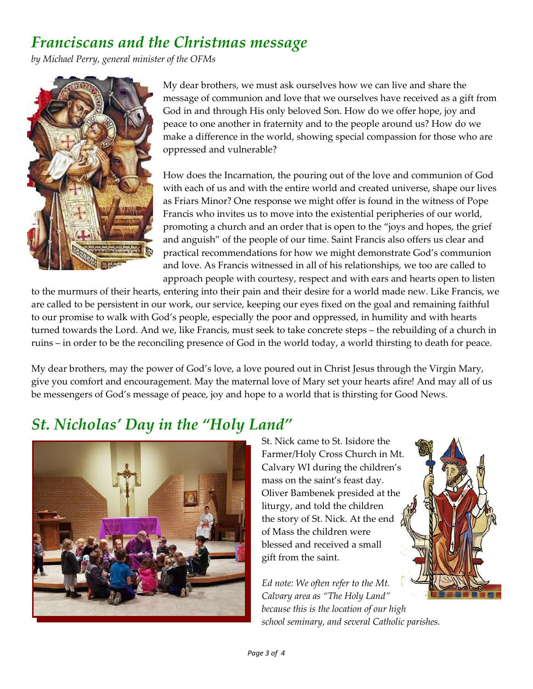### *Franciscans and the Christmas message*

*by Michael Perry, general minister of the OFMs* 



My dear brothers, we must ask ourselves how we can live and share the message of communion and love that we ourselves have received as a gift from God in and through His only beloved Son. How do we offer hope, joy and peace to one another in fraternity and to the people around us? How do we make a difference in the world, showing special compassion for those who are oppressed and vulnerable?

How does the Incarnation, the pouring out of the love and communion of God with each of us and with the entire world and created universe, shape our lives as Friars Minor? One response we might offer is found in the witness of Pope Francis who invites us to move into the existential peripheries of our world, promoting a church and an order that is open to the "joys and hopes, the grief and anguish" of the people of our time. Saint Francis also offers us clear and practical recommendations for how we might demonstrate God's communion and love. As Francis witnessed in all of his relationships, we too are called to approach people with courtesy, respect and with ears and hearts open to listen

to the murmurs of their hearts, entering into their pain and their desire for a world made new. Like Francis, we are called to be persistent in our work, our service, keeping our eyes fixed on the goal and remaining faithful to our promise to walk with God's people, especially the poor and oppressed, in humility and with hearts turned towards the Lord. And we, like Francis, must seek to take concrete steps – the rebuilding of a church in ruins – in order to be the reconciling presence of God in the world today, a world thirsting to death for peace.

My dear brothers, may the power of God's love, a love poured out in Christ Jesus through the Virgin Mary, give you comfort and encouragement. May the maternal love of Mary set your hearts afire! And may all of us be messengers of God's message of peace, joy and hope to a world that is thirsting for Good News.

## *St. Nicholas' Day in the "Holy Land"*



St. Nick came to St. Isidore the Farmer/Holy Cross Church in Mt. Calvary WI during the children's mass on the saint's feast day. Oliver Bambenek presided at the liturgy, and told the children the story of St. Nick. At the end of Mass the children were blessed and received a small gift from the saint.

*Ed note: We often refer to the Mt. Calvary area as "The Holy Land" because this is the location of our high school seminary, and several Catholic parishes.*